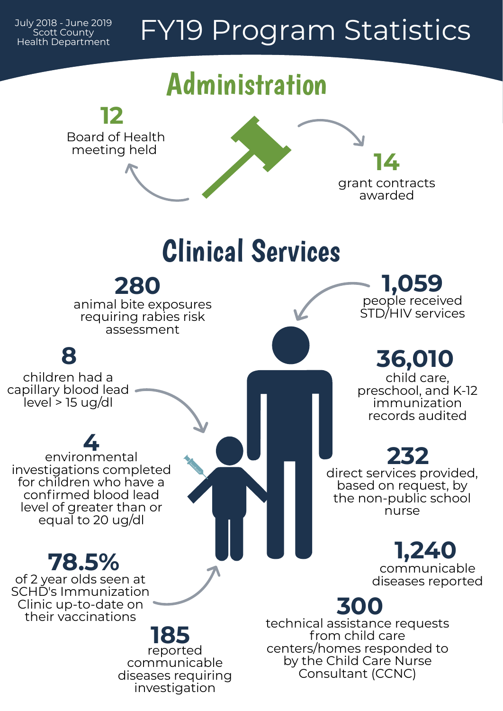## FY19 Program Statistics



July 2018 - June 2019 Scott County Health Department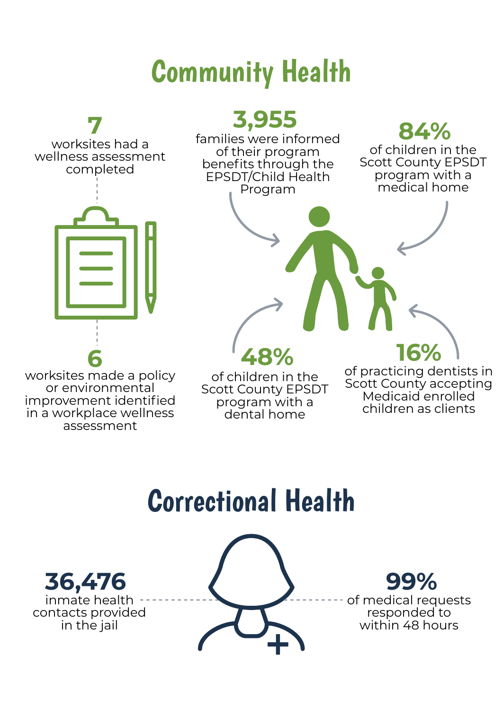## Community Health



## Correctional Health